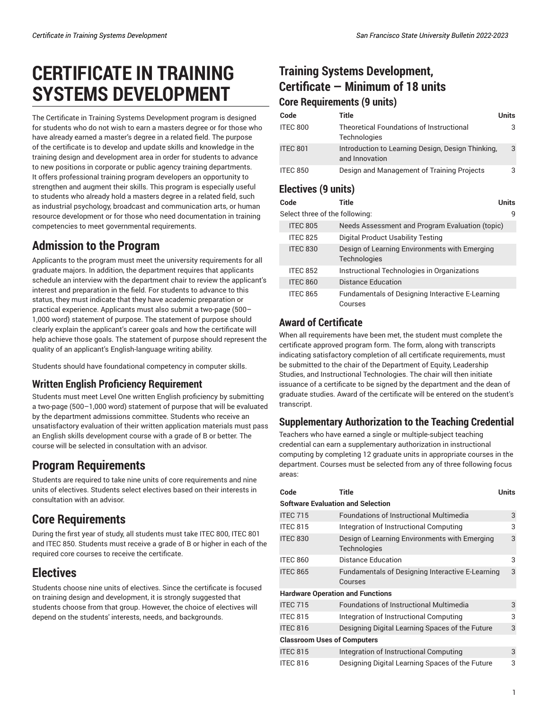# **CERTIFICATE IN TRAINING SYSTEMS DEVELOPMENT**

The Certificate in Training Systems Development program is designed for students who do not wish to earn a masters degree or for those who have already earned a master's degree in a related field. The purpose of the certificate is to develop and update skills and knowledge in the training design and development area in order for students to advance to new positions in corporate or public agency training departments. It offers professional training program developers an opportunity to strengthen and augment their skills. This program is especially useful to students who already hold a masters degree in a related field, such as industrial psychology, broadcast and communication arts, or human resource development or for those who need documentation in training competencies to meet governmental requirements.

## **Admission to the Program**

Applicants to the program must meet the university requirements for all graduate majors. In addition, the department requires that applicants schedule an interview with the department chair to review the applicant's interest and preparation in the field. For students to advance to this status, they must indicate that they have academic preparation or practical experience. Applicants must also submit a two-page (500– 1,000 word) statement of purpose. The statement of purpose should clearly explain the applicant's career goals and how the certificate will help achieve those goals. The statement of purpose should represent the quality of an applicant's English-language writing ability.

Students should have foundational competency in computer skills.

#### **Written English Proficiency Requirement**

Students must meet Level One written English proficiency by submitting a two-page (500–1,000 word) statement of purpose that will be evaluated by the department admissions committee. Students who receive an unsatisfactory evaluation of their written application materials must pass an English skills development course with a grade of B or better. The course will be selected in consultation with an advisor.

### **Program Requirements**

Students are required to take nine units of core requirements and nine units of electives. Students select electives based on their interests in consultation with an advisor.

# **Core Requirements**

During the first year of study, all students must take ITEC 800, ITEC 801 and ITEC 850. Students must receive a grade of B or higher in each of the required core courses to receive the certificate.

# **Electives**

Students choose nine units of electives. Since the certificate is focused on training design and development, it is strongly suggested that students choose from that group. However, the choice of electives will depend on the students' interests, needs, and backgrounds.

### **Training Systems Development, Certificate — Minimum of 18 units Core Requirements (9 units)**

| Code            | Title                                                               | Units |
|-----------------|---------------------------------------------------------------------|-------|
| <b>ITEC 800</b> | Theoretical Foundations of Instructional<br><b>Technologies</b>     |       |
| <b>ITEC 801</b> | Introduction to Learning Design, Design Thinking,<br>and Innovation | 3     |
| <b>ITEC 850</b> | Design and Management of Training Projects                          |       |

#### **Electives (9 units)**

| Code                           | Title                                                         | <b>Units</b> |
|--------------------------------|---------------------------------------------------------------|--------------|
| Select three of the following: |                                                               | q            |
| <b>ITEC 805</b>                | Needs Assessment and Program Evaluation (topic)               |              |
| <b>ITEC 825</b>                | Digital Product Usability Testing                             |              |
| <b>ITEC 830</b>                | Design of Learning Environments with Emerging<br>Technologies |              |
| <b>ITEC 852</b>                | Instructional Technologies in Organizations                   |              |
| <b>ITEC 860</b>                | Distance Education                                            |              |
| <b>ITEC 865</b>                | Fundamentals of Designing Interactive E-Learning<br>Courses   |              |

#### **Award of Certificate**

When all requirements have been met, the student must complete the certificate approved program form. The form, along with transcripts indicating satisfactory completion of all certificate requirements, must be submitted to the chair of the Department of Equity, Leadership Studies, and Instructional Technologies. The chair will then initiate issuance of a certificate to be signed by the department and the dean of graduate studies. Award of the certificate will be entered on the student's transcript.

#### **Supplementary Authorization to the Teaching Credential**

Teachers who have earned a single or multiple-subject teaching credential can earn a supplementary authorization in instructional computing by completing 12 graduate units in appropriate courses in the department. Courses must be selected from any of three following focus areas:

| Code                                     | Title                                                         | <b>Units</b> |  |  |
|------------------------------------------|---------------------------------------------------------------|--------------|--|--|
| <b>Software Evaluation and Selection</b> |                                                               |              |  |  |
| <b>ITEC 715</b>                          | Foundations of Instructional Multimedia                       | 3            |  |  |
| <b>ITEC 815</b>                          | Integration of Instructional Computing                        | 3            |  |  |
| <b>ITEC 830</b>                          | Design of Learning Environments with Emerging<br>Technologies | 3            |  |  |
| <b>ITEC 860</b>                          | Distance Education                                            | 3            |  |  |
| <b>ITEC 865</b>                          | Fundamentals of Designing Interactive E-Learning<br>Courses   | 3            |  |  |
| <b>Hardware Operation and Functions</b>  |                                                               |              |  |  |
| <b>ITEC 715</b>                          | <b>Foundations of Instructional Multimedia</b>                | 3            |  |  |
| <b>ITEC 815</b>                          | Integration of Instructional Computing                        | 3            |  |  |
| <b>ITEC 816</b>                          | Designing Digital Learning Spaces of the Future               | 3            |  |  |
| <b>Classroom Uses of Computers</b>       |                                                               |              |  |  |
| <b>ITEC 815</b>                          | Integration of Instructional Computing                        | 3            |  |  |
| <b>ITEC 816</b>                          | Designing Digital Learning Spaces of the Future               | 3            |  |  |